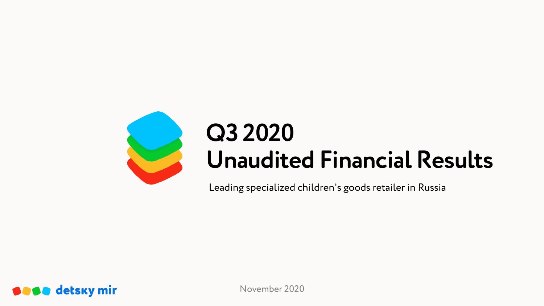

# **Q3 2020 Unaudited Financial Results**

Leading specialized children's goods retailer in Russia



November 2020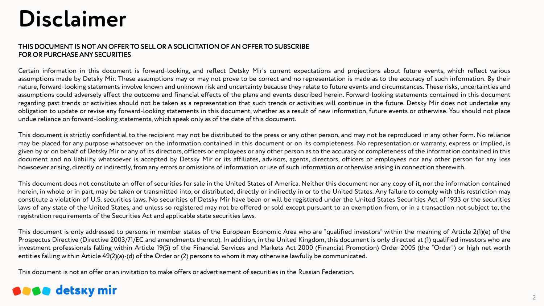# **Disclaimer**

#### THIS DOCUMENT IS NOT AN OFFER TO SELL OR A SOLICITATION OF AN OFFER TO SUBSCRIBE FOR OR PURCHASE ANY SECURITIES

Certain information in this document is forward-looking, and reflect Detsky Mir's current expectations and projections about future events, which reflect various assumptions made by Detsky Mir. These assumptions may or may not prove to be correct and no representation is made as to the accuracy of such information. By their nature, forward-looking statements involve known and unknown risk and uncertainty because they relate to future events and circumstances. These risks, uncertainties and assumptions could adversely affect the outcome and financial effects of the plans and events described herein. Forward-looking statements contained in this document regarding past trends or activities should not be taken as a representation that such trends or activities will continue in the future. Detsky Mir does not undertake any obligation to update or revise any forward-looking statements in this document, whether as a result of new information, future events or otherwise. You should not place undue reliance on forward-looking statements, which speak only as of the date of this document.

This document is strictly confidential to the recipient may not be distributed to the press or any other person, and may not be reproduced in any other form. No reliance may be placed for any purpose whatsoever on the information contained in this document or on its completeness. No representation or warranty, express or implied, is given by or on behalf of Detsky Mir or any of its directors, officers or employees or any other person as to the accuracy or completeness of the information contained in this document and no liability whatsoever is accepted by Detsky Mir or its affiliates, advisors, agents, directors, officers or employees nor any other person for any loss howsoever arising, directly or indirectly, from any errors or omissions of information or use of such information or otherwise arising in connection therewith.

This document does not constitute an offer of securities for sale in the United States of America. Neither this document nor any copy of it, nor the information contained herein, in whole or in part, may be taken or transmitted into, or distributed, directly or indirectly in or to the United States. Any failure to comply with this restriction may constitute a violation of U.S. securities laws. No securities of Detsky Mir have been or will be registered under the United States Securities Act of 1933 or the securities laws of any state of the United States, and unless so registered may not be offered or sold except pursuant to an exemption from, or in a transaction not subject to, the registration requirements of the Securities Act and applicable state securities laws.

This document is only addressed to persons in member states of the European Economic Area who are "qualified investors" within the meaning of Article 2(1)(e) of the Prospectus Directive (Directive 2003/71/EC and amendments thereto). In addition, in the United Kingdom, this document is only directed at (1) qualified investors who are investment professionals falling within Article 19(5) of the Financial Services and Markets Act 2000 (Financial Promotion) Order 2005 (the "Order") or high net worth entities falling within Article 49(2)(a)-(d) of the Order or (2) persons to whom it may otherwise lawfully be communicated.

This document is not an offer or an invitation to make offers or advertisement of securities in the Russian Federation.

## **SASA** detsky mir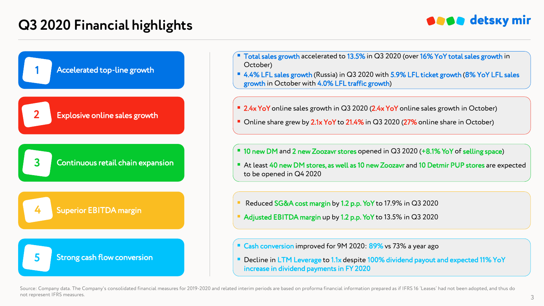

**1** Accelerated top-line growth **3** Continuous retail chain expansion **5** Strong cash flow conversion Explosive online sales growth **2** Superior EBITDA margin **4**

- $\blacksquare$  Total sales growth accelerated to 13.5% in Q3 2020 (over 16% YoY total sales growth in October)
- 4.4% LFL sales growth (Russia) in Q3 2020 with 5.9% LFL ticket growth (8% YoY LFL sales growth in October with 4.0% LFL traffic growth)
- 2.4x YoY online sales growth in Q3 2020 (2.4x YoY online sales growth in October)
- Online share grew by 2.1x YoY to 21.4% in Q3 2020 (27% online share in October)
- 10 new DM and 2 new Zoozavr stores opened in Q3 2020 (+8.1% YoY of selling space)
- At least 40 new DM stores, as well as 10 new Zoozavr and 10 Detmir PUP stores are expected to be opened in Q4 2020
- Reduced SG&A cost margin by 1.2 p.p. YoY to 17.9% in Q3 2020
- Adjusted EBITDA margin up by 1.2 p.p. YoY to 13.5% in Q3 2020
- Cash conversion improved for 9M 2020: 89% vs 73% a year ago
- Decline in LTM Leverage to 1.1x despite 100% dividend payout and expected 11% YoY increase in dividend payments in FY 2020

Source: Company data. The Company's consolidated financial measures for 2019-2020 and related interim periods are based on proforma financial information prepared as if IFRS 16 'Leases' had not been adopted, and thus do not represent IFRS measures.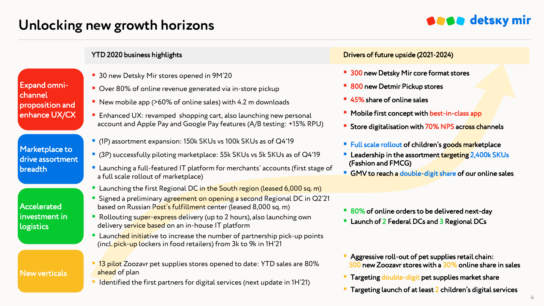## **Unlocking new growth horizons**

## **SASA** detsky mir

Expand omnichannel proposition and enhance UX/CX

Marketplace to drive assortment breadth

Accelerated investment in logistics

New verticals

- 30 new Detsky Mir stores opened in 9M'20
- Over 80% of online revenue generated via in-store pickup
- New mobile app (>60% of online sales) with 4.2 m downloads
- **Enhanced UX: revamped shopping cart, also launching new personal** account and Apple Pay and Google Pay features (A/B testing: +15% RPU)
- (1P) assortment expansion: 150k SKUs vs 100k SKUs as of Q4'19
- (3P) successfully piloting marketplace: 55k SKUs vs 5k SKUs as of Q4'19
- Launching a full-featured IT platform for merchants' accounts (first stage of a full scale rollout of marketplace)
- **E** Launching the first Regional DC in the South region (leased 6,000 sq. m)
- Signed a preliminary agreement on opening a second Regional DC in Q2'21 based on Russian Post's fulfillment center (leased 8,000 sq. m)
- Rollouting super-express delivery (up to 2 hours), also launching own delivery service based on an in-house IT platform
- **Launched initiative to increase the number of partnership pick-up points** (incl. pick-up lockers in food retailers) from 3k to 9k in 1H'21
- <sup>13</sup> pilot Zoozavr pet supplies stores opened to date: YTD sales are 80% ahead of plan
- $\blacksquare$  I dentified the first partners for digital services (next update in 1H $21$ )

#### YTD 2020 business highlights Drivers of future upside (2021-2024)

- 300 new Detsky Mir core format stores
- 800 new Detmir Pickup stores
- 45% share of online sales
- Mobile first concept with best-in-class app
- Store digitalisation with 70% NPS across channels
- Full scale rollout of children's goods marketplace
- Leadership in the assortment targeting 2,400k SKUs (Fashion and FMCG)
- GMV to reach a double-digit share of our online sales
- 80% of online orders to be delivered next-day
- Launch of 2 Federal DCs and 3 Regional DCs
- **Aggressive roll-out of pet supplies retail chain:** 500 new Zoozavr stores with a 30% online share in sales
- Targeting double-digit pet supplies market share
- Targeting launch of at least 2 children's digital services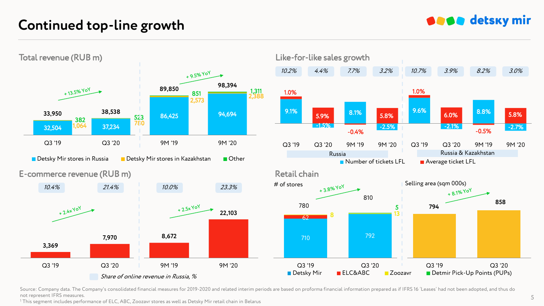## **Continued top-line growth**



Source: Company data. The Company's consolidated financial measures for 2019-2020 and related interim periods are based on proforma financial information prepared as if IFRS 16 'Leases' had not been adopted, and thus do not represent IFRS measures.

<sup>1</sup> This segment includes performance of ELC, ABC, Zoozavr stores as well as Detsky Mir retail chain in Belarus

## **SESS** detsky mir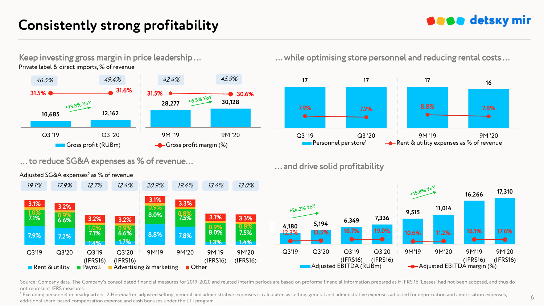## **Consistently strong profitability**

## **SASA** detsky mir

Keep investing gross margin in price leadership … Private label & direct imports, % of revenue



… to reduce SG&A expenses as % of revenue…



Adjusted SG&A expenses<sup>2</sup> as % of revenue

… while optimising store personnel and reducing rental costs …



… and drive solid profitability



Source: Company data. The Company's consolidated financial measures for 2019-2020 and related interim periods are based on proforma financial information prepared as if IFRS 16 'Leases' had not been adopted, and thus do not represent IFRS measures.

<sup>1</sup> Excluding personnel in headquarters. 2 Hereinafter, adjusted selling, general and administrative expenses is calculated as selling, general and administrative expenses adjusted for depreciation and amortisation expense additional share-based compensation expense and cash bonuses under the LTI program.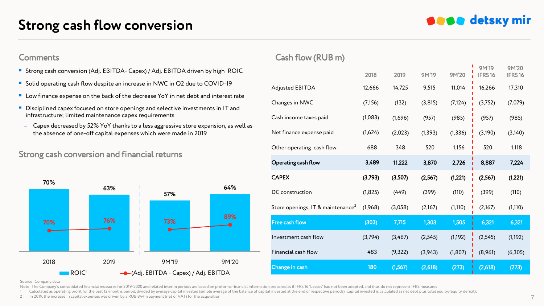## **Strong cash flow conversion**

**SESS** detsky mir

- Strong cash conversion (Adj. EBITDA- Capex) / Adj. EBITDA driven by high ROIC
- Solid operating cash flow despite an increase in NWC in Q2 due to COVID-19
- **Low finance expense on the back of the decrease YoY in net debt and interest rate**
- Disciplined capex focused on store openings and selective investments in IT and infrastructure: limited maintenance capex requirements
- ̶ Capex decreased by 52% YoY thanks to a less aggressive store expansion, as well as the absence of one-off capital expenses which were made in 2019

### Strong cash conversion and financial returns



### Comments Cash flow (RUB m)

|                                               | 2018     | 2019     | <b>9M'19</b> | 9M'20    | <b>9M'19</b><br>IFRS16 | 9M'20<br>IFRS16 |
|-----------------------------------------------|----------|----------|--------------|----------|------------------------|-----------------|
| <b>Adjusted EBITDA</b>                        | 12,666   | 14,725   | 9,515        | 11,014   | 16,266                 | 17,310          |
| Changes in NWC                                | (7, 156) | (132)    | (3,815)      | (7, 124) | (3,752)                | (7,079)         |
| Cash income taxes paid                        | (1,083)  | (1,696)  | (957)        | (985)    | (957)                  | (985)           |
| Net finance expense paid                      | (1,624)  | (2,023)  | (1, 393)     | (1, 336) | (3,190)                | (3,140)         |
| Other operating cash flow                     | 688      | 348      | 520          | 1,156    | 520                    | 1,118           |
| Operating cash flow                           | 3,489    | 11,222   | 3,870        | 2,726    | 8,887                  | 7,224           |
| <b>CAPEX</b>                                  | (3,793)  | (3,507)  | (2,567)      | (1,221)  | (2,567)                | (1,221)         |
| DC construction                               | (1,825)  | (449)    | (399)        | (110)    | (399)                  | (110)           |
| Store openings, IT & maintenance <sup>2</sup> | (1,968)  | (3,058)  | (2,167)      | (1, 110) | (2,167)                | (1, 110)        |
| <b>Free cash flow</b>                         | (303)    | 7,715    | 1,303        | 1,505    | 6,321                  | 6,321           |
| Investment cash flow                          | (3,794)  | (3,467)  | (2, 545)     | (1, 192) | (2, 545)               | (1, 192)        |
| Financial cash flow                           | 483      | (9, 322) | (3,943)      | (1, 807) | (8,961)                | (6,305)         |
|                                               |          |          |              |          |                        |                 |

Source: Company data

Note: The Company's consolidated financial measures for 2019-2020 and related interim periods are based on proforma financial information prepared as if IFRS 16 'Leases' had not been adopted, and thus do not represent IFRS

1 Calculated as operating profit for the past 12-months period, divided by average capital invested (simple average of the balance of capital invested at the end of respective periods). Capital invested is calculated as ne

2 In 2019, the increase in capital expenses was driven by a RUB 844m payment (net of VAT) for the acquisition 7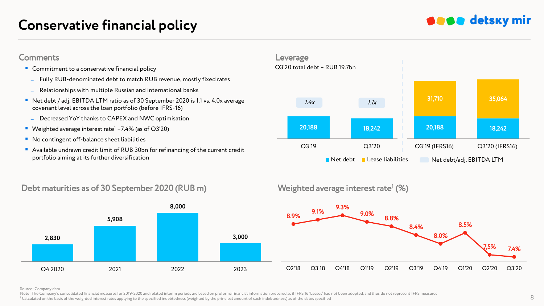## **Conservative financial policy**





### Debt maturities as of 30 September 2020 (RUB m)



## Weighted average interest rate<sup>1</sup> (%)



#### Source: Company data

Note: The Company's consolidated financial measures for 2019-2020 and related interim periods are based on proforma financial information prepared as if IFRS 16 'Leases' had not been adopted, and thus do not represent IFRS 1 Calculated on the basis of the weighted interest rates applying to the specified indebtedness (weighted by the principal amount of such indebtedness) as of the dates specified  $\frac{1}{2}$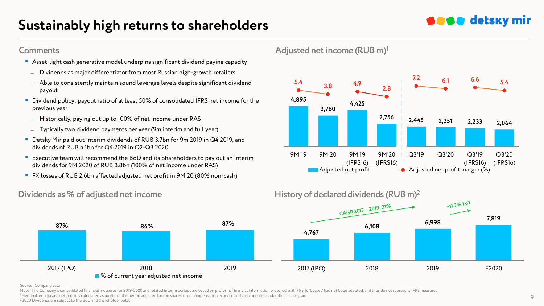## **Sustainably high returns to shareholders**

- Asset-light cash generative model underpins significant dividend paying capacity
	- ̶ Dividends as major differentiator from most Russian high-growth retailers
- ̶ Able to consistently maintain sound leverage levels despite significant dividend payout
- Dividend policy: payout ratio of at least 50% of consolidated IFRS net income for the previous year
	- ̶ Historically, paying out up to 100% of net income under RAS
	- ̶ Typically two dividend payments per year (9m interim and full year)
- Detsky Mir paid out interim dividends of RUB 3.7bn for 9m 2019 in Q4 2019, and dividends of RUB 4.1bn for Q4 2019 in Q2-Q3 2020
- Executive team will recommend the BoD and its Shareholders to pay out an interim dividends for 9M 2020 of RUB 3.8bn (100% of net income under RAS)
- FX losses of RUB 2.6bn affected adjusted net profit in 9M'20 (80% non-cash)



### Dividends as % of adjusted net income History of declared dividends (RUB m)<sup>2</sup>



#### Source: Company data

Note: The Company's consolidated financial measures for 2019-2020 and related interim periods are based on proforma financial information prepared as if IFRS 16 'Leases' had not been adopted, and thus do not represent IFRS <sup>1</sup> Hereinafter adjusted net profit is calculated as profit for the period adjusted for the share-based compensation expense and cash bonuses under the LTI program

#### <sup>2</sup>2020 Dividends are subject to the BoD and shareholder votes

**SASA** detsky mir

Comments Adjusted net income (RUB m)<sup>1</sup>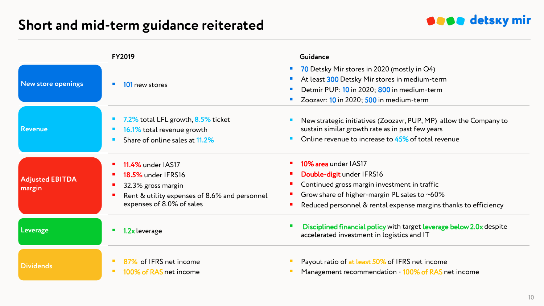## **Short and mid-term guidance reiterated**



|                                  | <b>FY2019</b>                                                                                                                                             | Guidance                                                                                                                                                                                                                            |
|----------------------------------|-----------------------------------------------------------------------------------------------------------------------------------------------------------|-------------------------------------------------------------------------------------------------------------------------------------------------------------------------------------------------------------------------------------|
| <b>New store openings</b>        | 101 new stores                                                                                                                                            | 70 Detsky Mir stores in 2020 (mostly in Q4)<br>$\mathcal{L}_{\mathcal{A}}$<br>At least 300 Detsky Mir stores in medium-term<br>П<br>Detmir PUP: 10 in 2020; 800 in medium-term<br>П<br>Zoozavr: 10 in 2020; 500 in medium-term<br>П |
| <b>Revenue</b>                   | 7.2% total LFL growth, 8.5% ticket<br>16.1% total revenue growth<br>Share of online sales at 11.2%                                                        | New strategic initiatives (Zoozavr, PUP, MP) allow the Company to<br>sustain similar growth rate as in past few years<br>Online revenue to increase to 45% of total revenue                                                         |
| <b>Adjusted EBITDA</b><br>margin | <b>11.4%</b> under IAS17<br><b>18.5% under IFRS16</b><br>32.3% gross margin<br>Rent & utility expenses of 8.6% and personnel<br>expenses of 8.0% of sales | <b>10% area</b> under IAS17<br>Double-digit under IFRS16<br>Continued gross margin investment in traffic<br>Grow share of higher-margin PL sales to $~60\%$<br>Reduced personnel & rental expense margins thanks to efficiency      |
| Leverage                         | 1.2x leverage                                                                                                                                             | Disciplined financial policy with target leverage below 2.0x despite<br>accelerated investment in logistics and IT                                                                                                                  |
| <b>Dividends</b>                 | 87% of IFRS net income<br>100% of RAS net income                                                                                                          | Payout ratio of at least 50% of IFRS net income<br>Management recommendation - 100% of RAS net income                                                                                                                               |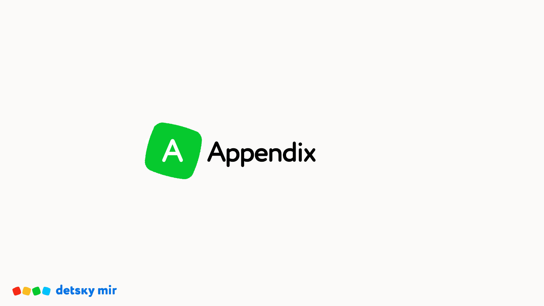

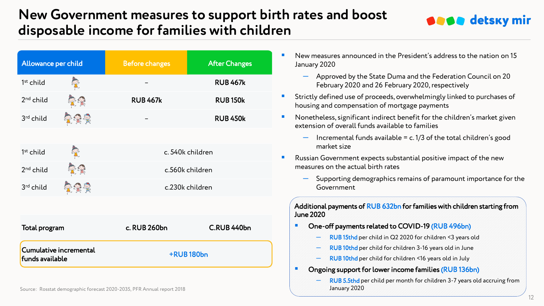## **New Government measures to support birth rates and boost disposable income for families with children**



**SESS** detsky mir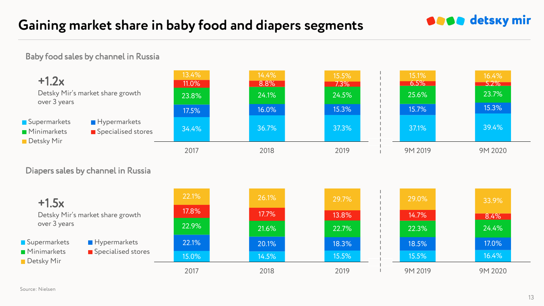## **Gaining market share in baby food and diapers segments**

Baby food sales by channel in Russia



**SESS** detsky mir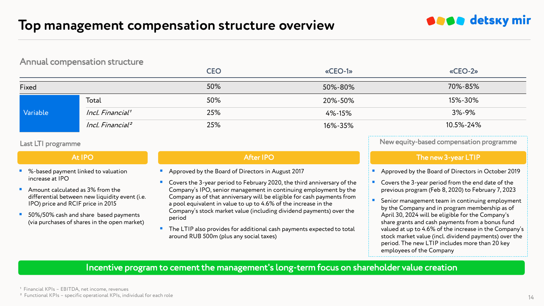#### Annual compensation structure

|          |                              | <b>CEO</b> | «CEO-1» | «CEO-2»     |
|----------|------------------------------|------------|---------|-------------|
| Fixed    |                              | 50%        | 50%-80% | 70%-85%     |
| Variable | Total                        | 50%        | 20%-50% | 15%-30%     |
|          | Incl. Financial <sup>1</sup> | 25%        | 4%-15%  | $3\% - 9\%$ |
|          | Incl. Financial <sup>2</sup> | 25%        | 16%-35% | 10.5%-24%   |

#### Last LTI programme

At IPO

- %-based payment linked to valuation increase at IPO
- Amount calculated as 3% from the differential between new liquidity event (i.e. IPO) price and RCIF price in 2015
- 50%/50% cash and share based payments (via purchases of shares in the open market)

#### After IPO

- **Approved by the Board of Directors in August 2017**
- Covers the 3-year period to February 2020, the third anniversary of the Company's IPO, senior management in continuing employment by the Company as of that anniversary will be eligible for cash payments from a pool equivalent in value to up to 4.6% of the increase in the Company's stock market value (including dividend payments) over the period
- The LTIP also provides for additional cash payments expected to total around RUB 500m (plus any social taxes)

New equity-based compensation programme

**SASA** detsky mir

#### The new 3-year LTIP

Approved by the Board of Directors in October 2019

- Covers the 3-year period from the end date of the previous program (Feb 8, 2020) to February 7, 2023
- Senior management team in continuing employment by the Company and in program membership as of April 30, 2024 will be eligible for the Company's share grants and cash payments from a bonus fund valued at up to 4.6% of the increase in the Company's stock market value (incl. dividend payments) over the period. The new LTIP includes more than 20 key employees of the Company

### Incentive program to cement the management's long-term focus on shareholder value creation

<sup>1</sup> Financial KPIs - EBITDA, net income, revenues

 $^2$  Functional KPIs – specific operational KPIs, individual for each role  $14$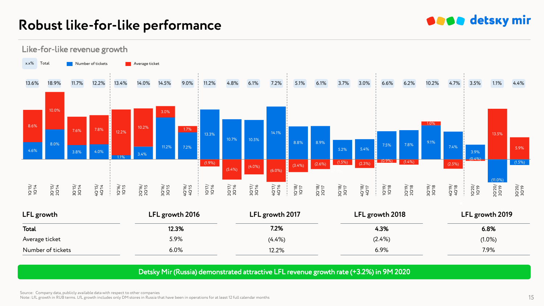## **Robust like-for-like performance**

## **SESS** detsky mir



| LFL growth        | LFL growth 2016 | LFL growth 2017 | LFL growth 2018 | LFL growth 2019 |
|-------------------|-----------------|-----------------|-----------------|-----------------|
| Total             | 12.3%           | 7.2%            | 4.3%            | 6.8%            |
| Average ticket    | 5.9%            | $(4.4\%)$       | $(2.4\%)$       | $(1.0\%)$       |
| Number of tickets | 6.0%            | 12.2%           | 6.9%            | 7.9%            |

#### Detsky Mir (Russia) demonstrated attractive LFL revenue growth rate (+3.2%) in 9M 2020

Source: Company data, publicly available data with respect to other companies Note: LfL growth in RUB terms. LfL growth includes only DM stores in Russia that have been in operations for at least 12 full calendar months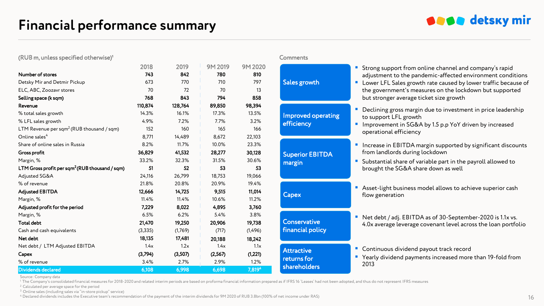

#### $(RUB \, m,$  unless specified otherwise)<sup>1</sup>  $Q = 1$  comments

|                                                            | 2018     | 2019    | 9M 2019 | 9M 2020  |                              |  |
|------------------------------------------------------------|----------|---------|---------|----------|------------------------------|--|
| Number of stores                                           | 743      | 842     | 780     | 810      |                              |  |
| Detsky Mir and Detmir Pickup                               | 673      | 770     | 710     | 797      | Sales growth                 |  |
| ELC, ABC, Zoozavr stores                                   | 70       | 72      | 70      | 13       |                              |  |
| Selling space (k sqm)                                      | 768      | 843     | 794     | 858      |                              |  |
| Revenue                                                    | 110,874  | 128,764 | 89,850  | 98,394   |                              |  |
| % total sales growth                                       | 14.3%    | 16.1%   | 17.3%   | 13.5%    | Improved opera<br>efficiency |  |
| % LFL sales growth                                         | 4.9%     | 7.2%    | 7.7%    | 3.2%     |                              |  |
| LTM Revenue per sqm <sup>2</sup> (RUB thousand / sqm)      | 152      | 160     | 165     | 166      |                              |  |
| Online sales <sup>4</sup>                                  | 8,771    | 14,489  | 8,672   | 22,103   |                              |  |
| Share of online sales in Russia                            | 8.2%     | 11.7%   | 10.0%   | 23.3%    |                              |  |
| Gross profit                                               | 36,829   | 41,532  | 28,277  | 30,128   | <b>Superior EBITD</b>        |  |
| Margin, %                                                  | 33.2%    | 32.3%   | 31.5%   | 30.6%    | margin                       |  |
| LTM Gross profit per sqm <sup>2</sup> (RUB thousand / sqm) | 51       | 52      | 53      | 53       |                              |  |
| Adjusted SG&A                                              | 24,116   | 26,799  | 18,753  | 19,066   |                              |  |
| % of revenue                                               | 21.8%    | 20.8%   | 20.9%   | 19.4%    |                              |  |
| <b>Adjusted EBITDA</b>                                     | 12,666   | 14,725  | 9,515   | 11,014   | Capex                        |  |
| Margin, %                                                  | 11.4%    | 11.4%   | 10.6%   | 11.2%    |                              |  |
| Adjusted profit for the period                             | 7,229    | 8,022   | 4,895   | 3,760    |                              |  |
| Margin, %                                                  | 6.5%     | 6.2%    | 5.4%    | 3.8%     | Conservative                 |  |
| <b>Total debt</b>                                          | 21,470   | 19,250  | 20,906  | 19,738   |                              |  |
| Cash and cash equivalents                                  | (3, 335) | (1,769) | (717)   | (1,496)  | financial policy             |  |
| Net debt                                                   | 18,135   | 17,481  | 20,188  | 18,242   |                              |  |
| Net debt / LTM Adjusted EBITDA                             | 1.4x     | 1.2x    | 1.4x    | 1.1x     |                              |  |
| Capex                                                      | (3,794)  | (3,507) | (2,567) | (1, 221) | <b>Attractive</b>            |  |
| % of revenue                                               | 3.4%     | 2.7%    | 2.9%    | 1.2%     | returns for                  |  |
| <b>Dividends declared</b>                                  | 6,108    | 6,998   | 6,698   | 7,8194   | shareholders                 |  |

**Strong support from online channel and company's rapid** adjustment to the pandemic-affected environment conditions

vth

operating

**EBITDA** 

**Lower LFL Sales growth rate caused by lower traffic because of** the government's measures on the lockdown but supported but stronger average ticket size growth

- Declining gross margin due to investment in price leadership to support LFL growth
- Improvement in SG&A by 1.5 p.p YoY driven by increased operational efficiency
- **Increase in EBITDA margin supported by significant discounts** from landlords during lockdown
- **Substantial share of variable part in the payroll allowed to** brought the SG&A share down as well
- Asset-light business model allows to achieve superior cash flow generation
- Net debt / adj. EBITDA as of 30-September-2020 is 1.1x vs. tive the conservative across the loan portfolio conservative across the loan portfolio Conservative A.Ox average leverage covenant level across the loan portfolio
	- **Continuous dividend payout track record**
	- Yearly dividend payments increased more than 19-fold from 2013

Source: Company data

<sup>1</sup> The Company's consolidated financial measures for 2018-2020 and related interim periods are based on proforma financial information prepared as if IFRS 16 'Leases' had not been adopted, and thus do not represent IFRS m

<sup>2</sup> Calculated per average space for the period

<sup>3</sup> Online sales (including sales via "in-store pickup" service)

<sup>4</sup> Declared dividends includes the Executive team's recommendation of the payment of the interim dividends for 9M 2020 of RUB 3.8bn (100% of net income under RAS) 16